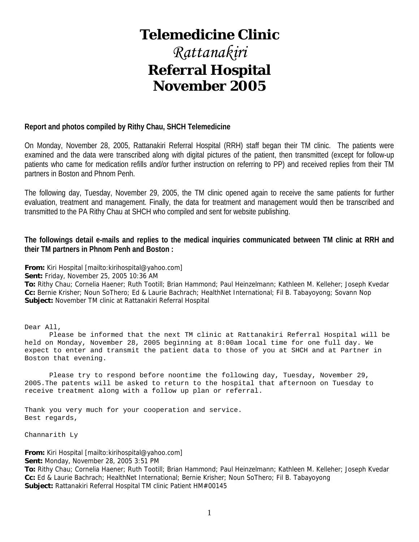# **Telemedicine Clinic**

# *Rattanakiri*  **Referral Hospital November 2005**

#### **Report and photos compiled by Rithy Chau, SHCH Telemedicine**

On Monday, November 28, 2005, Rattanakiri Referral Hospital (RRH) staff began their TM clinic. The patients were examined and the data were transcribed along with digital pictures of the patient, then transmitted (except for follow-up patients who came for medication refills and/or further instruction on referring to PP) and received replies from their TM partners in Boston and Phnom Penh.

The following day, Tuesday, November 29, 2005, the TM clinic opened again to receive the same patients for further evaluation, treatment and management. Finally, the data for treatment and management would then be transcribed and transmitted to the PA Rithy Chau at SHCH who compiled and sent for website publishing.

#### **The followings detail e-mails and replies to the medical inquiries communicated between TM clinic at RRH and their TM partners in Phnom Penh and Boston :**

**From:** Kiri Hospital [mailto:kirihospital@yahoo.com]

**Sent:** Friday, November 25, 2005 10:36 AM

**To:** Rithy Chau; Cornelia Haener; Ruth Tootill; Brian Hammond; Paul Heinzelmann; Kathleen M. Kelleher; Joseph Kvedar **Cc:** Bernie Krisher; Noun SoThero; Ed & Laurie Bachrach; HealthNet International; Fil B. Tabayoyong; Sovann Nop **Subject:** November TM clinic at Rattanakiri Referral Hospital

Dear All,

 Please be informed that the next TM clinic at Rattanakiri Referral Hospital will be held on Monday, November 28, 2005 beginning at 8:00am local time for one full day. We expect to enter and transmit the patient data to those of you at SHCH and at Partner in Boston that evening.

 Please try to respond before noontime the following day, Tuesday, November 29, 2005.The patents will be asked to return to the hospital that afternoon on Tuesday to receive treatment along with a follow up plan or referral.

Thank you very much for your cooperation and service. Best regards,

Channarith Ly

**From:** Kiri Hospital [mailto:kirihospital@yahoo.com]

**Sent:** Monday, November 28, 2005 3:51 PM

**To:** Rithy Chau; Cornelia Haener; Ruth Tootill; Brian Hammond; Paul Heinzelmann; Kathleen M. Kelleher; Joseph Kvedar **Cc:** Ed & Laurie Bachrach; HealthNet International; Bernie Krisher; Noun SoThero; Fil B. Tabayoyong **Subject:** Rattanakiri Referral Hospital TM clinic Patient HM#00145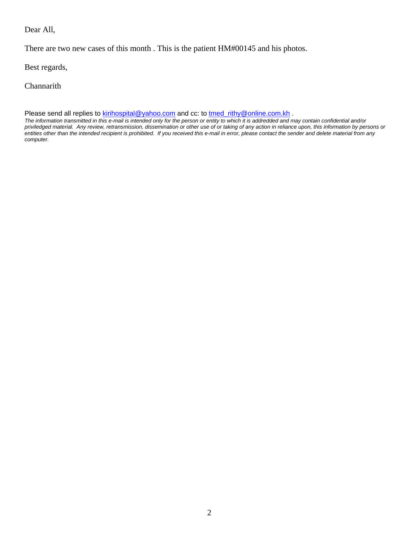#### Dear All,

There are two new cases of this month . This is the patient HM#00145 and his photos.

Best regards,

**Channarith** 

Please send all replies to kirihospital@yahoo.com and cc: to tmed\_rithy@online.com.kh .

*The information transmitted in this e-mail is intended only for the person or entity to which it is addredded and may contain confidential and/or priviledged material. Any review, retransmission, dissemination or other use of or taking of any action in reliance upon, this information by persons or entities other than the intended recipient is prohibited. If you received this e-mail in error, please contact the sender and delete material from any computer.*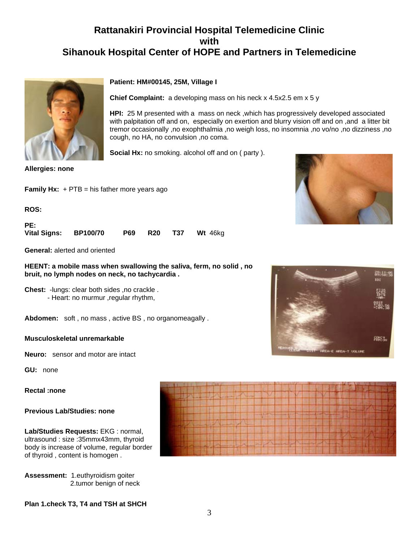## **Rattanakiri Provincial Hospital Telemedicine Clinic with Sihanouk Hospital Center of HOPE and Partners in Telemedicine**



**Allergies: none**

**Family Hx:** + PTB = his father more years ago

**ROS:**

**PE: Vital Signs: BP100/70 P69 R20 T37 Wt** 46kg

**General:** alerted and oriented

**HEENT: a mobile mass when swallowing the saliva, ferm, no solid , no bruit, no lymph nodes on neck, no tachycardia .**

**Chest:** -lungs: clear both sides ,no crackle . - Heart: no murmur ,regular rhythm,

**Abdomen:** soft , no mass , active BS , no organomeagally .

#### **Musculoskeletal unremarkable**

**Neuro:** sensor and motor are intact

**GU:** none

#### **Rectal :none**

#### **Previous Lab/Studies: none**

**Lab/Studies Requests:** EKG : normal, ultrasound : size :35mmx43mm, thyroid body is increase of volume, regular border of thyroid , content is homogen .

**Assessment:** 1.euthyroidism goiter 2.tumor benign of neck

**Plan 1.check T3, T4 and TSH at SHCH** 



**Chief Complaint:** a developing mass on his neck x 4.5x2.5 em x 5 y

**HPI:** 25 M presented with a mass on neck, which has progressively developed associated with palpitation off and on, especially on exertion and blurry vision off and on ,and a litter bit tremor occasionally ,no exophthalmia ,no weigh loss, no insomnia ,no vo/no ,no dizziness ,no cough, no HA, no convulsion ,no coma.

**Social Hx:** no smoking. alcohol off and on ( party ).







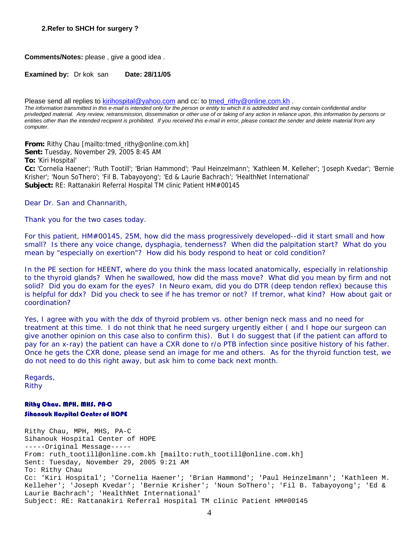**Comments/Notes:** please , give a good idea .

**Examined by:** Dr kok san **Date: 28/11/05** 

Please send all replies to kirihospital@yahoo.com and cc: to tmed\_rithy@online.com.kh .

*The information transmitted in this e-mail is intended only for the person or entity to which it is addredded and may contain confidential and/or priviledged material. Any review, retransmission, dissemination or other use of or taking of any action in reliance upon, this information by persons or*  entities other than the intended recipient is prohibited. If you received this e-mail in error, please contact the sender and delete material from any *computer.*

**From:** Rithy Chau [mailto:tmed\_rithy@online.com.kh] **Sent:** Tuesday, November 29, 2005 8:45 AM **To:** 'Kiri Hospital'

**Cc:** 'Cornelia Haener'; 'Ruth Tootill'; 'Brian Hammond'; 'Paul Heinzelmann'; 'Kathleen M. Kelleher'; 'Joseph Kvedar'; 'Bernie Krisher'; 'Noun SoThero'; 'Fil B. Tabayoyong'; 'Ed & Laurie Bachrach'; 'HealthNet International' **Subject:** RE: Rattanakiri Referral Hospital TM clinic Patient HM#00145

Dear Dr. San and Channarith,

Thank you for the two cases today.

For this patient, HM#00145, 25M, how did the mass progressively developed--did it start small and how small? Is there any voice change, dysphagia, tenderness? When did the palpitation start? What do you mean by "especially on exertion"? How did his body respond to heat or cold condition?

In the PE section for HEENT, where do you think the mass located anatomically, especially in relationship to the thyroid glands? When he swallowed, how did the mass move? What did you mean by firm and not solid? Did you do exam for the eyes? In Neuro exam, did you do DTR (deep tendon reflex) because this is helpful for ddx? Did you check to see if he has tremor or not? If tremor, what kind? How about gait or coordination?

Yes, I agree with you with the ddx of thyroid problem vs. other benign neck mass and no need for treatment at this time. I do not think that he need surgery urgently either ( and I hope our surgeon can give another opinion on this case also to confirm this). But I do suggest that (if the patient can afford to pay for an x-ray) the patient can have a CXR done to r/o PTB infection since positive history of his father. Once he gets the CXR done, please send an image for me and others. As for the thyroid function test, we do not need to do this right away, but ask him to come back next month.

Regards, Rithy

#### Rithy Chau, MPH, MHS, PA-C Sihanouk Hospital Center of HOPE

Rithy Chau, MPH, MHS, PA-C Sihanouk Hospital Center of HOPE -----Original Message----- From: ruth\_tootill@online.com.kh [mailto:ruth\_tootill@online.com.kh] Sent: Tuesday, November 29, 2005 9:21 AM To: Rithy Chau Cc: 'Kiri Hospital'; 'Cornelia Haener'; 'Brian Hammond'; 'Paul Heinzelmann'; 'Kathleen M. Kelleher'; 'Joseph Kvedar'; 'Bernie Krisher'; 'Noun SoThero'; 'Fil B. Tabayoyong'; 'Ed & Laurie Bachrach'; 'HealthNet International' Subject: RE: Rattanakiri Referral Hospital TM clinic Patient HM#00145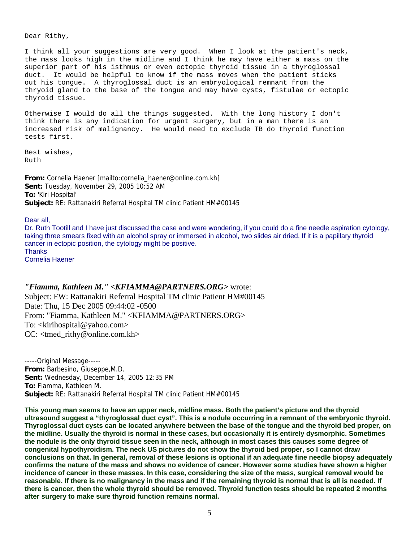Dear Rithy,

I think all your suggestions are very good. When I look at the patient's neck, the mass looks high in the midline and I think he may have either a mass on the superior part of his isthmus or even ectopic thyroid tissue in a thyroglossal duct. It would be helpful to know if the mass moves when the patient sticks out his tongue. A thyroglossal duct is an embryological remnant from the thryoid gland to the base of the tongue and may have cysts, fistulae or ectopic thyroid tissue.

Otherwise I would do all the things suggested. With the long history I don't think there is any indication for urgent surgery, but in a man there is an increased risk of malignancy. He would need to exclude TB do thyroid function tests first.

Best wishes, Ruth

**From:** Cornelia Haener [mailto:cornelia\_haener@online.com.kh] **Sent:** Tuesday, November 29, 2005 10:52 AM **To:** 'Kiri Hospital' **Subject:** RE: Rattanakiri Referral Hospital TM clinic Patient HM#00145

Dear all,

Dr. Ruth Tootill and I have just discussed the case and were wondering, if you could do a fine needle aspiration cytology, taking three smears fixed with an alcohol spray or immersed in alcohol, two slides air dried. If it is a papillary thyroid cancer in ectopic position, the cytology might be positive. **Thanks** 

Cornelia Haener

#### *"Fiamma, Kathleen M." <KFIAMMA@PARTNERS.ORG>* wrote:

Subject: FW: Rattanakiri Referral Hospital TM clinic Patient HM#00145 Date: Thu, 15 Dec 2005 09:44:02 -0500 From: "Fiamma, Kathleen M." <KFIAMMA@PARTNERS.ORG> To: <kirihospital@yahoo.com> CC: <tmed\_rithy@online.com.kh>

-----Original Message----- **From:** Barbesino, Giuseppe,M.D. **Sent:** Wednesday, December 14, 2005 12:35 PM **To:** Fiamma, Kathleen M. **Subject:** RE: Rattanakiri Referral Hospital TM clinic Patient HM#00145

**This young man seems to have an upper neck, midline mass. Both the patient's picture and the thyroid ultrasound suggest a "thyroglossal duct cyst". This is a nodule occurring in a remnant of the embryonic thyroid. Thyroglossal duct cysts can be located anywhere between the base of the tongue and the thyroid bed proper, on the midline. Usually the thyroid is normal in these cases, but occasionally it is entirely dysmorphic. Sometimes the nodule is the only thyroid tissue seen in the neck, although in most cases this causes some degree of congenital hypothyroidism. The neck US pictures do not show the thyroid bed proper, so I cannot draw conclusions on that. In general, removal of these lesions is optional if an adequate fine needle biopsy adequately confirms the nature of the mass and shows no evidence of cancer. However some studies have shown a higher incidence of cancer in these masses. In this case, considering the size of the mass, surgical removal would be reasonable. If there is no malignancy in the mass and if the remaining thyroid is normal that is all is needed. If there is cancer, then the whole thyroid should be removed. Thyroid function tests should be repeated 2 months after surgery to make sure thyroid function remains normal.**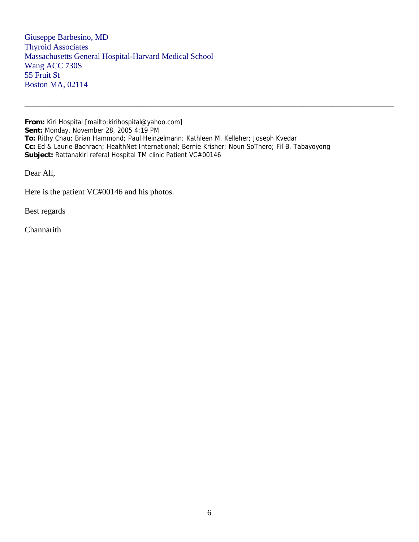Giuseppe Barbesino, MD Thyroid Associates Massachusetts General Hospital-Harvard Medical School Wang ACC 730S 55 Fruit St Boston MA, 02114

**From:** Kiri Hospital [mailto:kirihospital@yahoo.com] **Sent:** Monday, November 28, 2005 4:19 PM **To:** Rithy Chau; Brian Hammond; Paul Heinzelmann; Kathleen M. Kelleher; Joseph Kvedar **Cc:** Ed & Laurie Bachrach; HealthNet International; Bernie Krisher; Noun SoThero; Fil B. Tabayoyong **Subject:** Rattanakiri referal Hospital TM clinic Patient VC#00146

\_\_\_\_\_\_\_\_\_\_\_\_\_\_\_\_\_\_\_\_\_\_\_\_\_\_\_\_\_\_\_\_\_\_\_\_\_\_\_\_\_\_\_\_\_\_\_\_\_\_\_\_\_\_\_\_\_\_\_\_\_\_\_\_\_\_\_\_\_\_\_\_\_\_\_\_\_\_\_\_\_\_\_\_\_\_\_\_\_\_

Dear All,

Here is the patient VC#00146 and his photos.

Best regards

Channarith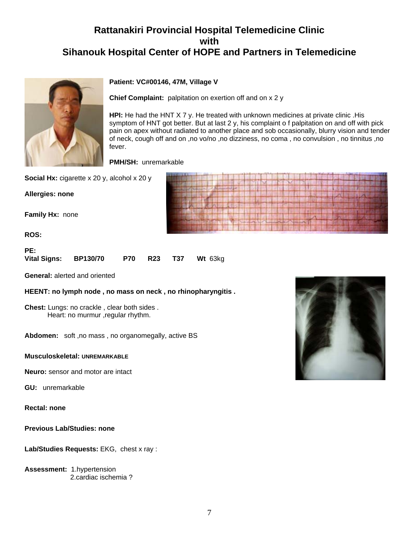## **Rattanakiri Provincial Hospital Telemedicine Clinic with Sihanouk Hospital Center of HOPE and Partners in Telemedicine**



#### **Patient: VC#00146, 47M, Village V**

**Chief Complaint:** palpitation on exertion off and on x 2 y

**HPI:** He had the HNT X 7 y. He treated with unknown medicines at private clinic .His symptom of HNT got better. But at last 2 y, his complaint o f palpitation on and off with pick pain on apex without radiated to another place and sob occasionally, blurry vision and tender of neck, cough off and on ,no vo/no ,no dizziness, no coma , no convulsion , no tinnitus ,no fever.

**PMH/SH:** unremarkable

**Social Hx:** cigarette x 20 y, alcohol x 20 y

**Allergies: none**

**Family Hx:** none

**ROS:**

| PE:                 |                 |  |                            |
|---------------------|-----------------|--|----------------------------|
| <b>Vital Signs:</b> | <b>BP130/70</b> |  | <b>P70 R23 T37 Wt 63kg</b> |

**General:** alerted and oriented

**HEENT: no lymph node , no mass on neck , no rhinopharyngitis .**

**Chest:** Lungs: no crackle , clear both sides . Heart: no murmur ,regular rhythm.

**Abdomen:** soft ,no mass , no organomegally, active BS

#### **Musculoskeletal: UNREMARKABLE**

**Neuro:** sensor and motor are intact

**GU:** unremarkable

**Rectal: none**

**Previous Lab/Studies: none**

**Lab/Studies Requests:** EKG, chest x ray :

**Assessment:** 1.hypertension 2.cardiac ischemia ?

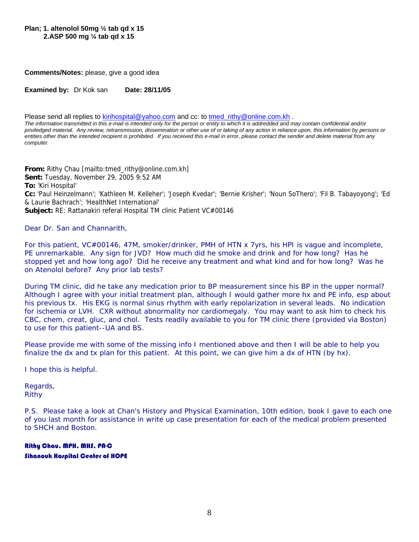**Plan; 1. altenolol 50mg ½ tab qd x 15 2.ASP 500 mg ¼ tab qd x 15** 

**Comments/Notes:** please, give a good idea

**Examined by:** Dr Kok san Date: 28/11/05

Please send all replies to kirihospital@yahoo.com and cc: to tmed\_rithy@online.com.kh .

*The information transmitted in this e-mail is intended only for the person or entity to which it is addredded and may contain confidential and/or priviledged material. Any review, retransmission, dissemination or other use of or taking of any action in reliance upon, this information by persons or entities other than the intended recipient is prohibited. If you received this e-mail in error, please contact the sender and delete material from any computer.*

**From:** Rithy Chau [mailto:tmed\_rithy@online.com.kh] **Sent:** Tuesday, November 29, 2005 9:52 AM **To:** 'Kiri Hospital' **Cc:** 'Paul Heinzelmann'; 'Kathleen M. Kelleher'; 'Joseph Kvedar'; 'Bernie Krisher'; 'Noun SoThero'; 'Fil B. Tabayoyong'; 'Ed & Laurie Bachrach'; 'HealthNet International' **Subject:** RE: Rattanakiri referal Hospital TM clinic Patient VC#00146

Dear Dr. San and Channarith,

For this patient, VC#00146, 47M, smoker/drinker, PMH of HTN x 7yrs, his HPI is vague and incomplete, PE unremarkable. Any sign for JVD? How much did he smoke and drink and for how long? Has he stopped yet and how long ago? Did he receive any treatment and what kind and for how long? Was he on Atenolol before? Any prior lab tests?

During TM clinic, did he take any medication prior to BP measurement since his BP in the upper normal? Although I agree with your initial treatment plan, although I would gather more hx and PE info, esp about his previous tx. His EKG is normal sinus rhythm with early repolarization in several leads. No indication for ischemia or LVH. CXR without abnormality nor cardiomegaly. You may want to ask him to check his CBC, chem, creat, gluc, and chol. Tests readily available to you for TM clinic there (provided via Boston) to use for this patient--UA and BS.

Please provide me with some of the missing info I mentioned above and then I will be able to help you finalize the dx and tx plan for this patient. At this point, we can give him a dx of HTN (by hx).

I hope this is helpful.

Regards, Rithy

P.S. Please take a look at Chan's *History and Physical Examination*, 10th edition, book I gave to each one of you last month for assistance in write up case presentation for each of the medical problem presented to SHCH and Boston.

Rithy Chau, MPH, MHS, PA-C Sihanouk Hospital Center of HOPE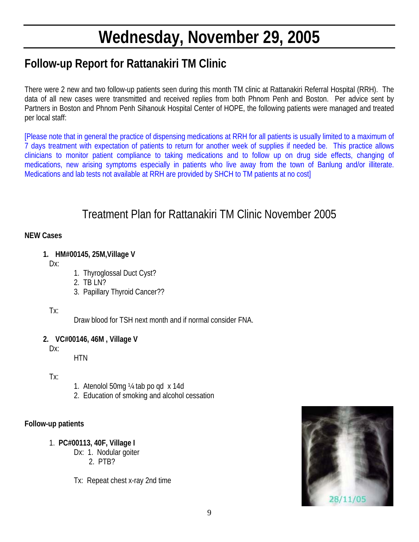# **Wednesday, November 29, 2005**

## **Follow-up Report for Rattanakiri TM Clinic**

There were 2 new and two follow-up patients seen during this month TM clinic at Rattanakiri Referral Hospital (RRH). The data of all new cases were transmitted and received replies from both Phnom Penh and Boston. Per advice sent by Partners in Boston and Phnom Penh Sihanouk Hospital Center of HOPE, the following patients were managed and treated per local staff:

[Please note that in general the practice of dispensing medications at RRH for all patients is usually limited to a maximum of 7 days treatment with expectation of patients to return for another week of supplies if needed be. This practice allows clinicians to monitor patient compliance to taking medications and to follow up on drug side effects, changing of medications, new arising symptoms especially in patients who live away from the town of Banlung and/or illiterate. Medications and lab tests not available at RRH are provided by SHCH to TM patients at no cost]

## Treatment Plan for Rattanakiri TM Clinic November 2005

#### **NEW Cases**

**1. HM#00145, 25M,Village V** 

Dx:

- 1. Thyroglossal Duct Cyst?
- 2. TB LN?
- 3. Papillary Thyroid Cancer??

#### Tx:

Draw blood for TSH next month and if normal consider FNA.

#### **2. VC#00146, 46M , Village V**

Dx:

**HTN** 

- Tx:
- 1. Atenolol 50mg ¼ tab po qd x 14d
- 2. Education of smoking and alcohol cessation

#### **Follow-up patients**

- 1. **PC#00113, 40F, Village I**
	- Dx: 1. Nodular goiter 2. PTB?
	- Tx: Repeat chest x-ray 2nd time